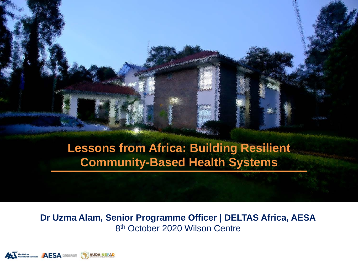# **Lessons from Africa: Building Resilient Community-Based Health Systems**

#### **Dr Uzma Alam, Senior Programme Officer | DELTAS Africa, AESA** 8th October 2020 Wilson Centre

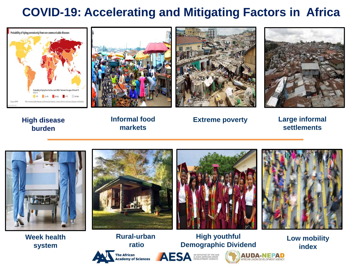#### **COVID-19: Accelerating and Mitigating Factors in Africa**





**burden**

**Informal food markets**

High disease **Extreme poverty High disease Extreme poverty** 

**Large informal settlements**



**Week health system**







**Rural-urban ratio**











AUDA-NEPAD

CAN UNION DEVELOPMENT AGENCY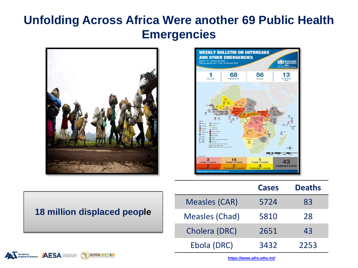## **Unfolding Across Africa Were another 69 Public Health Emergencies**





| <b>18 million displaced people</b> |
|------------------------------------|
|                                    |

|                       | Саэсэ | РАЧАНЫ |
|-----------------------|-------|--------|
| <b>Measles (CAR)</b>  | 5724  | 83     |
| <b>Measles (Chad)</b> | 5810  | 28     |
| Cholera (DRC)         | 2651  | 43     |
| Ebola (DRC)           | 3432  | 2253   |

**Cases Deaths** 



г

*<https://www.afro.who.int/>*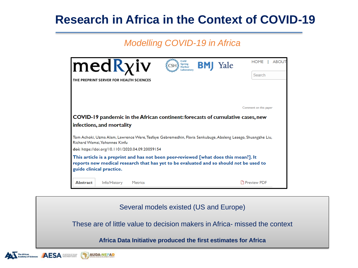#### **Research in Africa in the Context of COVID-19**

#### *Modelling COVID-19 in Africa*



Several models existed (US and Europe)

These are of little value to decision makers in Africa- missed the context

**Africa Data Initiative produced the first estimates for Africa**

The African<br>Academy of Sciences **AESA** 

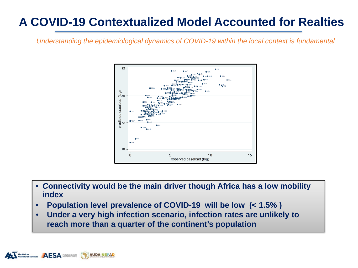## **A COVID-19 Contextualized Model Accounted for Realties**

*Understanding the epidemiological dynamics of COVID-19 within the local context is fundamental* 



- *C***onnectivity would be the main driver though Africa has a low mobility index**
- **Population level prevalence of COVID-19 will be low (< 1.5% )**
- **Under a very high infection scenario, infection rates are unlikely to reach more than a quarter of the continent's population**

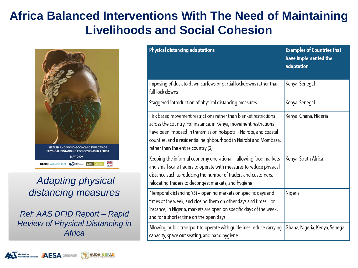## **Africa Balanced Interventions With The Need of Maintaining Livelihoods and Social Cohesion**



#### *Adapting physical distancing measures*

*Ref: AAS DFID Report – Rapid Review of Physical Distancing in Africa*

**AUDA-NEPAD** 

**AESA** 

The African<br>Academy of Sc

| <b>Physical distancing adaptations</b>                                                                                                                                                                                                                                                                                 | <b>Examples of Countries that</b><br>have implemented the<br>adaptation |
|------------------------------------------------------------------------------------------------------------------------------------------------------------------------------------------------------------------------------------------------------------------------------------------------------------------------|-------------------------------------------------------------------------|
| Imposing of dusk to dawn curfews or partial lockdowns rather than<br>full lock downs                                                                                                                                                                                                                                   | Kenya, Senegal                                                          |
| Staggered introduction of physical distancing measures                                                                                                                                                                                                                                                                 | Kenya, Senegal                                                          |
| Risk based movement restrictions rather than blanket restrictions<br>across the country. For instance, in Kenya, movement restrictions<br>have been imposed in transmission hotspots - Nairobi, and coastal<br>counties, and a residential neighbourhood in Nairobi and Mombasa,<br>rather than the entire country (2) | Kenya, Ghana, Nigeria                                                   |
| Keeping the informal economy operational - allowing food markets<br>and small-scale traders to operate with measures to reduce physical<br>distance such as reducing the number of traders and customers,<br>relocating traders to decongest markets, and hygiene                                                      | Kenya, South Africa                                                     |
| "Temporal distancing"(3) – opening markets on specific days and<br>times of the week, and closing them on other days and times. For<br>instance, in Nigeria, markets are open on specific days of the week,<br>and for a shorter time on the open days                                                                 | Nigeria                                                                 |
| Allowing public transport to operate with guidelines reduce carrying<br>capacity, space out seating, and hand hygiene                                                                                                                                                                                                  | Ghana, Nigeria, Kenya, Senegal                                          |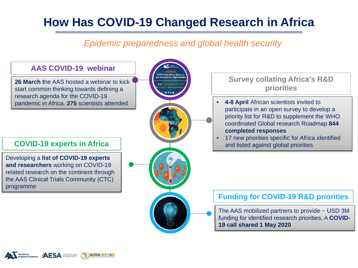# **How Has COVID-19 Changed Research in Africa**

#### *Epidemic preparedness and global health security*



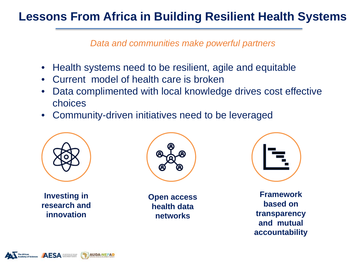### **Lessons From Africa in Building Resilient Health Systems**

*Data and communities make powerful partners* 

- Health systems need to be resilient, agile and equitable
- Current model of health care is broken
- Data complimented with local knowledge drives cost effective choices
- Community-driven initiatives need to be leveraged



**Investing in research and innovation** 

AESA

**AUDA-NEPAD** 

The African<br>Academy of Sciences



**Open access health data networks**



**Framework based on transparency and mutual accountability**